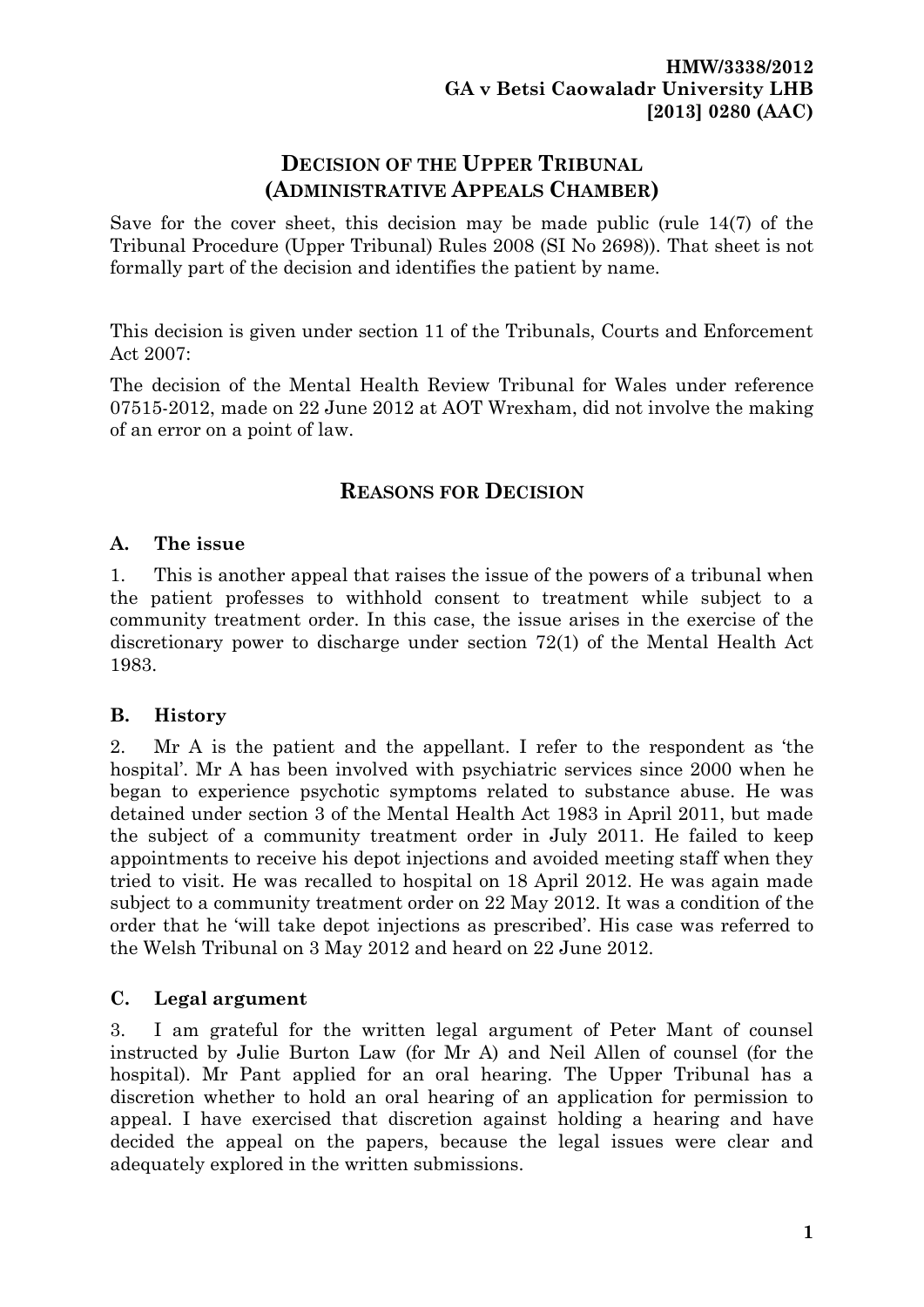# **DECISION OF THE UPPER TRIBUNAL (ADMINISTRATIVE APPEALS CHAMBER)**

Save for the cover sheet, this decision may be made public (rule 14(7) of the Tribunal Procedure (Upper Tribunal) Rules 2008 (SI No 2698)). That sheet is not formally part of the decision and identifies the patient by name.

This decision is given under section 11 of the Tribunals, Courts and Enforcement Act 2007:

The decision of the Mental Health Review Tribunal for Wales under reference 07515-2012, made on 22 June 2012 at AOT Wrexham, did not involve the making of an error on a point of law.

# **REASONS FOR DECISION**

#### **A. The issue**

1. This is another appeal that raises the issue of the powers of a tribunal when the patient professes to withhold consent to treatment while subject to a community treatment order. In this case, the issue arises in the exercise of the discretionary power to discharge under section 72(1) of the Mental Health Act 1983.

## **B. History**

2. Mr A is the patient and the appellant. I refer to the respondent as 'the hospital'. Mr A has been involved with psychiatric services since 2000 when he began to experience psychotic symptoms related to substance abuse. He was detained under section 3 of the Mental Health Act 1983 in April 2011, but made the subject of a community treatment order in July 2011. He failed to keep appointments to receive his depot injections and avoided meeting staff when they tried to visit. He was recalled to hospital on 18 April 2012. He was again made subject to a community treatment order on 22 May 2012. It was a condition of the order that he 'will take depot injections as prescribed'. His case was referred to the Welsh Tribunal on 3 May 2012 and heard on 22 June 2012.

## **C. Legal argument**

3. I am grateful for the written legal argument of Peter Mant of counsel instructed by Julie Burton Law (for Mr A) and Neil Allen of counsel (for the hospital). Mr Pant applied for an oral hearing. The Upper Tribunal has a discretion whether to hold an oral hearing of an application for permission to appeal. I have exercised that discretion against holding a hearing and have decided the appeal on the papers, because the legal issues were clear and adequately explored in the written submissions.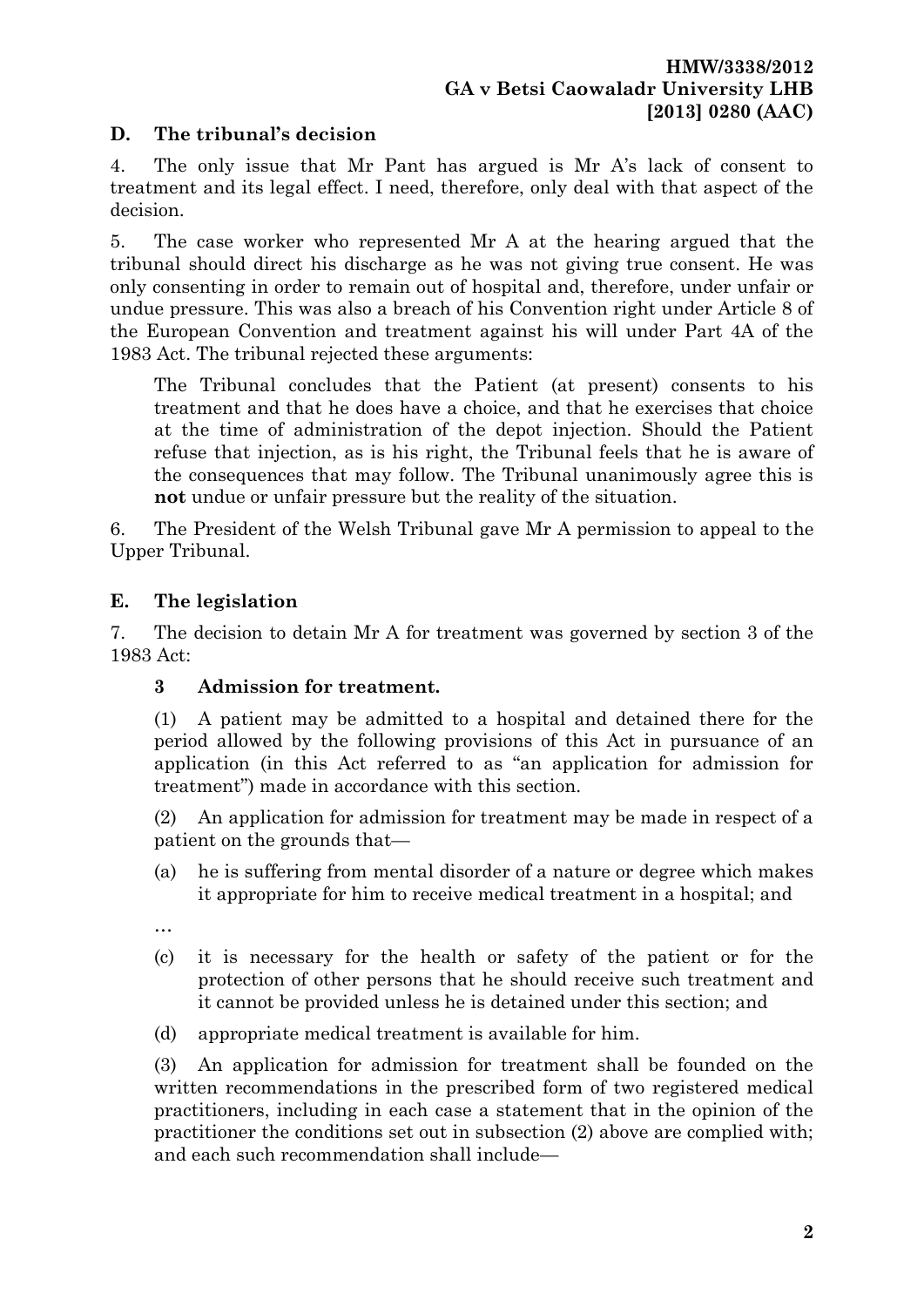# **D. The tribunal's decision**

4. The only issue that Mr Pant has argued is Mr A's lack of consent to treatment and its legal effect. I need, therefore, only deal with that aspect of the decision.

5. The case worker who represented Mr A at the hearing argued that the tribunal should direct his discharge as he was not giving true consent. He was only consenting in order to remain out of hospital and, therefore, under unfair or undue pressure. This was also a breach of his Convention right under Article 8 of the European Convention and treatment against his will under Part 4A of the 1983 Act. The tribunal rejected these arguments:

The Tribunal concludes that the Patient (at present) consents to his treatment and that he does have a choice, and that he exercises that choice at the time of administration of the depot injection. Should the Patient refuse that injection, as is his right, the Tribunal feels that he is aware of the consequences that may follow. The Tribunal unanimously agree this is **not** undue or unfair pressure but the reality of the situation.

6. The President of the Welsh Tribunal gave Mr A permission to appeal to the Upper Tribunal.

# **E. The legislation**

7. The decision to detain Mr A for treatment was governed by section 3 of the 1983 Act:

## **3 Admission for treatment.**

(1) A patient may be admitted to a hospital and detained there for the period allowed by the following provisions of this Act in pursuance of an application (in this Act referred to as "an application for admission for treatment") made in accordance with this section.

(2) An application for admission for treatment may be made in respect of a patient on the grounds that—

- (a) he is suffering from mental disorder of a nature or degree which makes it appropriate for him to receive medical treatment in a hospital; and
- …
- (c) it is necessary for the health or safety of the patient or for the protection of other persons that he should receive such treatment and it cannot be provided unless he is detained under this section; and
- (d) appropriate medical treatment is available for him.

(3) An application for admission for treatment shall be founded on the written recommendations in the prescribed form of two registered medical practitioners, including in each case a statement that in the opinion of the practitioner the conditions set out in subsection (2) above are complied with; and each such recommendation shall include—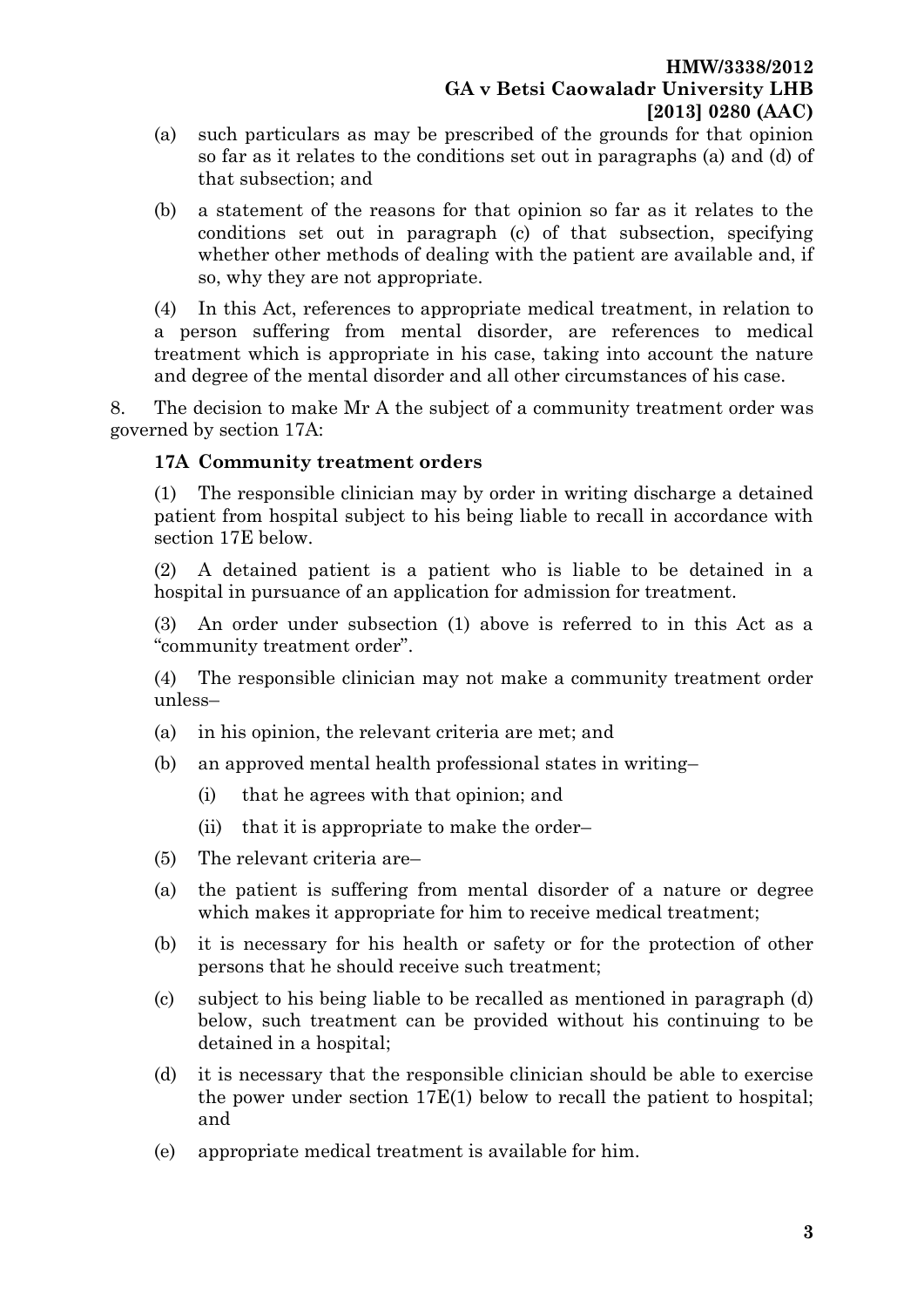- (a) such particulars as may be prescribed of the grounds for that opinion so far as it relates to the conditions set out in paragraphs (a) and (d) of that subsection; and
- (b) a statement of the reasons for that opinion so far as it relates to the conditions set out in paragraph (c) of that subsection, specifying whether other methods of dealing with the patient are available and, if so, why they are not appropriate.

(4) In this Act, references to appropriate medical treatment, in relation to a person suffering from mental disorder, are references to medical treatment which is appropriate in his case, taking into account the nature and degree of the mental disorder and all other circumstances of his case.

8. The decision to make Mr A the subject of a community treatment order was governed by section 17A:

#### **17A Community treatment orders**

(1) The responsible clinician may by order in writing discharge a detained patient from hospital subject to his being liable to recall in accordance with [section 17E](http://login.westlaw.co.uk/maf/wluk/app/document?src=doc&linktype=ref&&context=11&crumb-action=replace&docguid=I6FCE3F90AA3111DDB2038D95F3AE260C) below.

(2) A detained patient is a patient who is liable to be detained in a hospital in pursuance of an application for admission for treatment.

(3) An order under subsection (1) above is referred to in this Act as a "community treatment order".

(4) The responsible clinician may not make a community treatment order unless–

- (a) in his opinion, the relevant criteria are met; and
- (b) an approved mental health professional states in writing–
	- (i) that he agrees with that opinion; and
	- (ii) that it is appropriate to make the order–
- (5) The relevant criteria are–
- (a) the patient is suffering from mental disorder of a nature or degree which makes it appropriate for him to receive medical treatment;
- (b) it is necessary for his health or safety or for the protection of other persons that he should receive such treatment;
- (c) subject to his being liable to be recalled as mentioned in paragraph (d) below, such treatment can be provided without his continuing to be detained in a hospital;
- (d) it is necessary that the responsible clinician should be able to exercise the power under [section 17E\(1\)](http://login.westlaw.co.uk/maf/wluk/app/document?src=doc&linktype=ref&&context=11&crumb-action=replace&docguid=I6FCE3F90AA3111DDB2038D95F3AE260C) below to recall the patient to hospital; and
- (e) appropriate medical treatment is available for him.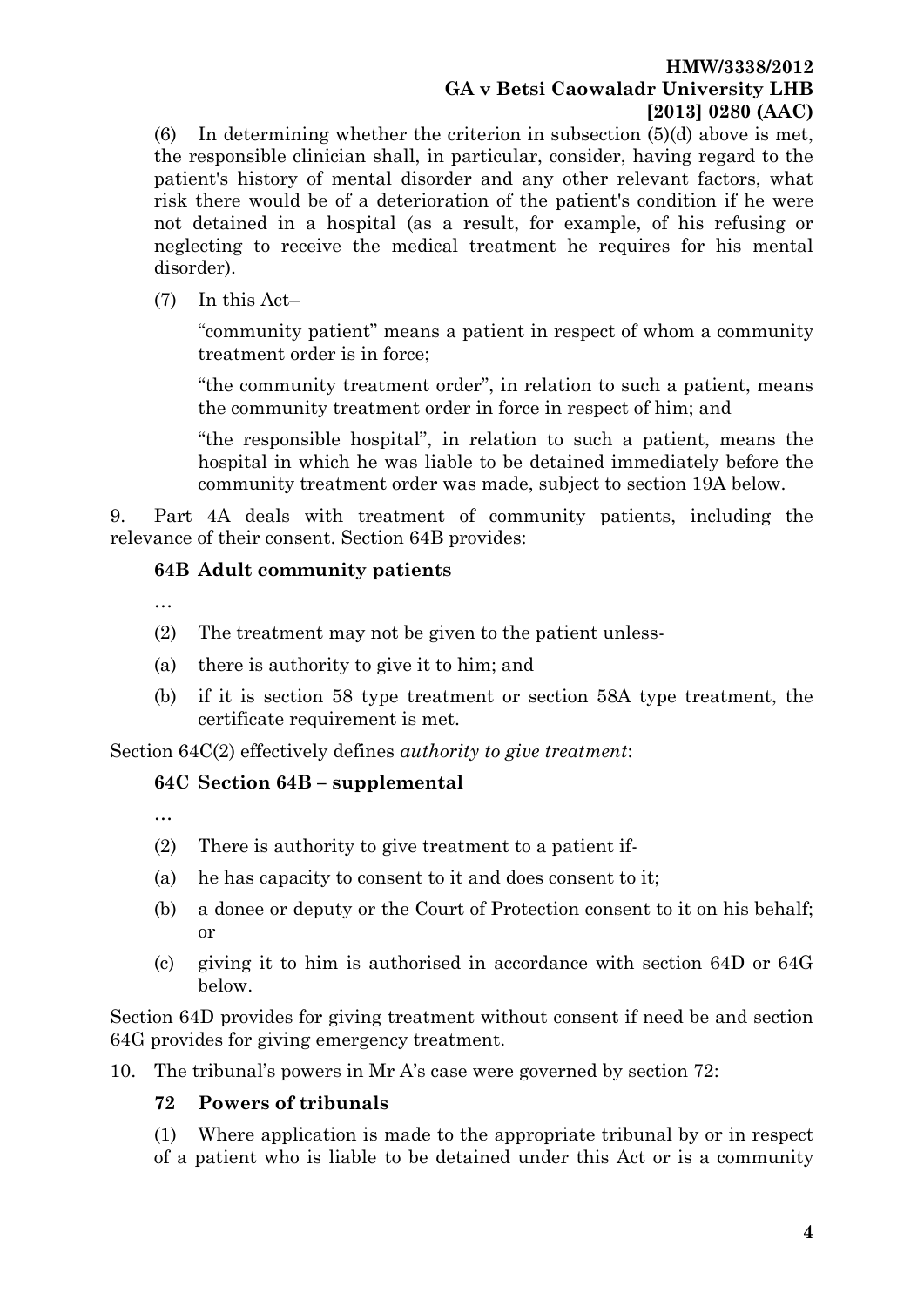#### **HMW/3338/2012 GA v Betsi Caowaladr University LHB [2013] 0280 (AAC)**

(6) In determining whether the criterion in subsection  $(5)(d)$  above is met, the responsible clinician shall, in particular, consider, having regard to the patient's history of mental disorder and any other relevant factors, what risk there would be of a deterioration of the patient's condition if he were not detained in a hospital (as a result, for example, of his refusing or neglecting to receive the medical treatment he requires for his mental disorder).

(7) In this Act–

"community patient" means a patient in respect of whom a community treatment order is in force;

"the community treatment order", in relation to such a patient, means the community treatment order in force in respect of him; and

"the responsible hospital", in relation to such a patient, means the hospital in which he was liable to be detained immediately before the community treatment order was made, subject to [section 19A](http://login.westlaw.co.uk/maf/wluk/app/document?src=doc&linktype=ref&&context=11&crumb-action=replace&docguid=I24AAB97048AE11DCB029F9561A6CCE51) below.

9. Part 4A deals with treatment of community patients, including the relevance of their consent. Section 64B provides:

## **64B Adult community patients**

…

- (2) The treatment may not be given to the patient unless-
- (a) there is authority to give it to him; and
- (b) if it is section 58 type treatment or section 58A type treatment, the certificate requirement is met.

Section 64C(2) effectively defines *authority to give treatment*:

## **64C Section 64B – supplemental**

…

- (2) There is authority to give treatment to a patient if-
- (a) he has capacity to consent to it and does consent to it;
- (b) a donee or deputy or the Court of Protection consent to it on his behalf; or
- (c) giving it to him is authorised in accordance with section 64D or 64G below.

Section 64D provides for giving treatment without consent if need be and section 64G provides for giving emergency treatment.

10. The tribunal's powers in Mr A's case were governed by section 72:

#### **72 Powers of tribunals**

(1) Where application is made to the appropriate tribunal by or in respect of a patient who is liable to be detained under this Act or is a community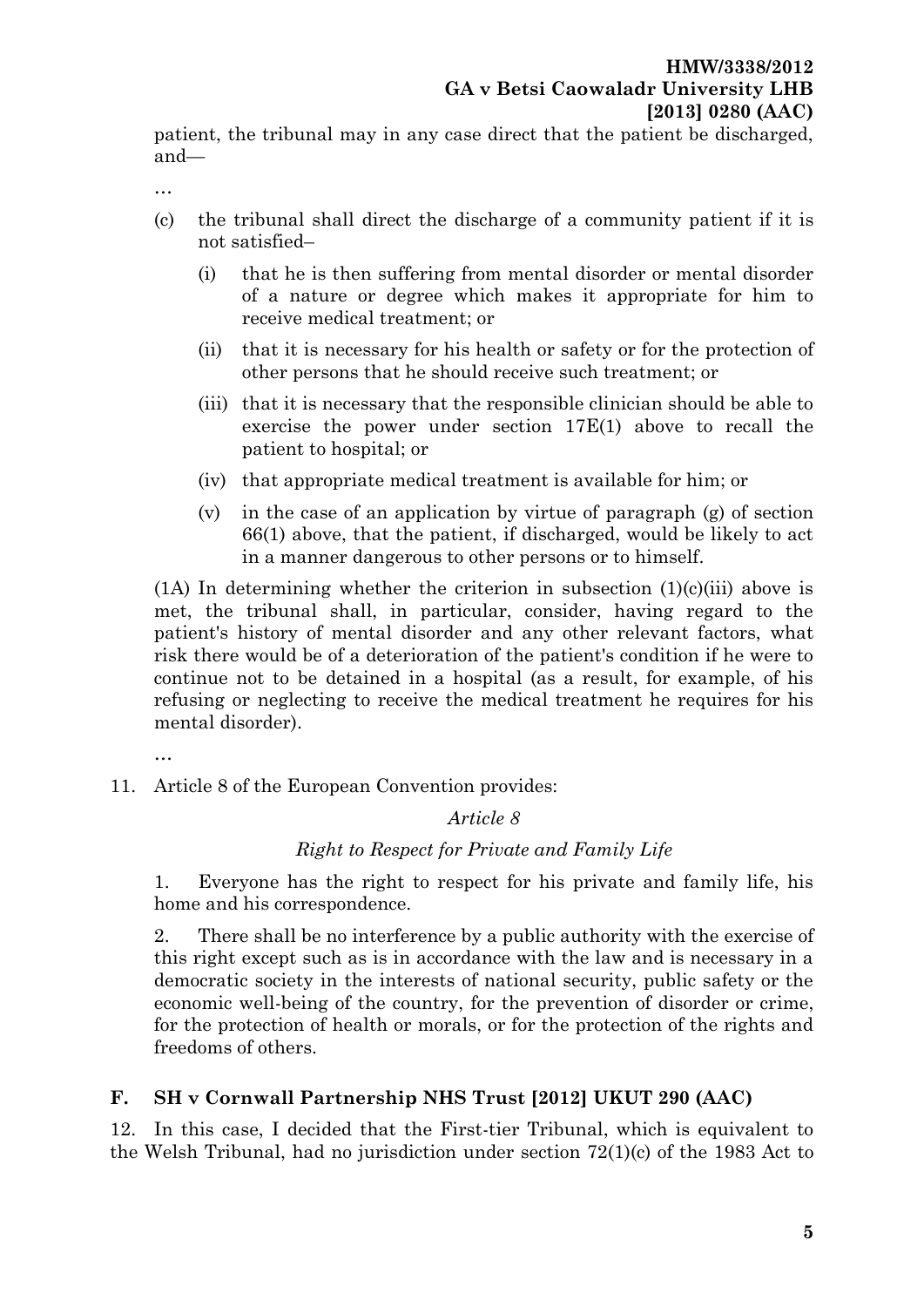patient, the tribunal may in any case direct that the patient be discharged, and—

…

- (c) the tribunal shall direct the discharge of a community patient if it is not satisfied–
	- (i) that he is then suffering from mental disorder or mental disorder of a nature or degree which makes it appropriate for him to receive medical treatment; or
	- (ii) that it is necessary for his health or safety or for the protection of other persons that he should receive such treatment; or
	- (iii) that it is necessary that the responsible clinician should be able to exercise the power under [section 17E\(1\)](http://login.westlaw.co.uk/maf/wluk/app/document?src=doc&linktype=ref&&context=5&crumb-action=replace&docguid=I6FCE3F90AA3111DDB2038D95F3AE260C) above to recall the patient to hospital; or
	- (iv) that appropriate medical treatment is available for him; or
	- (v) in the case of an application by virtue of [paragraph \(g\) of section](http://login.westlaw.co.uk/maf/wluk/app/document?src=doc&linktype=ref&&context=5&crumb-action=replace&docguid=I3FF6E970E44A11DA8D70A0E70A78ED65)  [66\(1\)](http://login.westlaw.co.uk/maf/wluk/app/document?src=doc&linktype=ref&&context=5&crumb-action=replace&docguid=I3FF6E970E44A11DA8D70A0E70A78ED65) above, that the patient, if discharged, would be likely to act in a manner dangerous to other persons or to himself.

 $(1)$  In determining whether the criterion in subsection  $(1)(c)(iii)$  above is met, the tribunal shall, in particular, consider, having regard to the patient's history of mental disorder and any other relevant factors, what risk there would be of a deterioration of the patient's condition if he were to continue not to be detained in a hospital (as a result, for example, of his refusing or neglecting to receive the medical treatment he requires for his mental disorder).

…

11. Article 8 of the European Convention provides:

*Article 8*

## *Right to Respect for Private and Family Life*

1. Everyone has the right to respect for his private and family life, his home and his correspondence.

2. There shall be no interference by a public authority with the exercise of this right except such as is in accordance with the law and is necessary in a democratic society in the interests of national security, public safety or the economic well-being of the country, for the prevention of disorder or crime, for the protection of health or morals, or for the protection of the rights and freedoms of others.

## **F. SH v Cornwall Partnership NHS Trust [2012] UKUT 290 (AAC)**

12. In this case, I decided that the First-tier Tribunal, which is equivalent to the Welsh Tribunal, had no jurisdiction under section 72(1)(c) of the 1983 Act to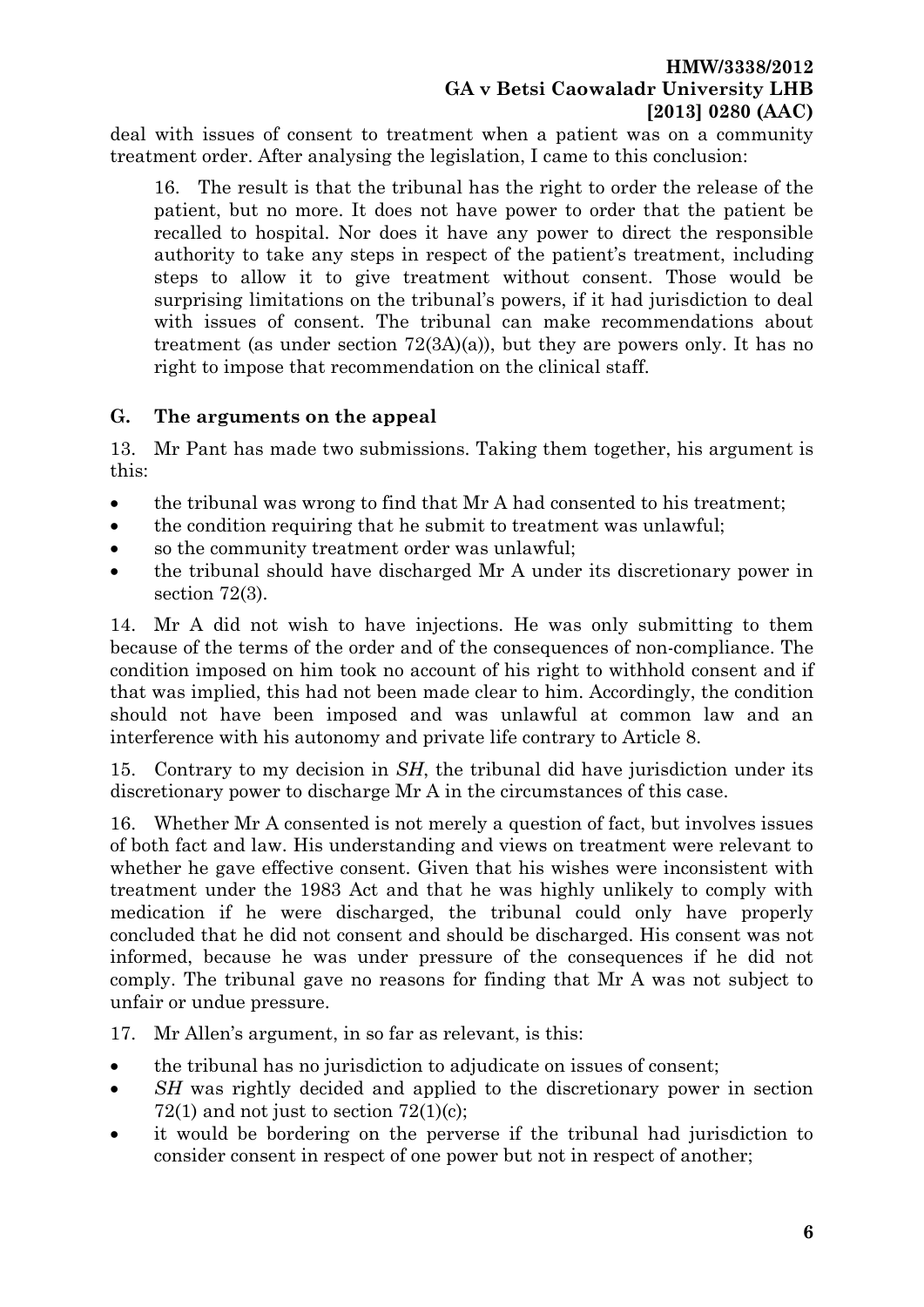deal with issues of consent to treatment when a patient was on a community treatment order. After analysing the legislation, I came to this conclusion:

16. The result is that the tribunal has the right to order the release of the patient, but no more. It does not have power to order that the patient be recalled to hospital. Nor does it have any power to direct the responsible authority to take any steps in respect of the patient's treatment, including steps to allow it to give treatment without consent. Those would be surprising limitations on the tribunal's powers, if it had jurisdiction to deal with issues of consent. The tribunal can make recommendations about treatment (as under section 72(3A)(a)), but they are powers only. It has no right to impose that recommendation on the clinical staff.

#### **G. The arguments on the appeal**

13. Mr Pant has made two submissions. Taking them together, his argument is this:

- the tribunal was wrong to find that Mr A had consented to his treatment;
- the condition requiring that he submit to treatment was unlawful;
- so the community treatment order was unlawful;
- the tribunal should have discharged Mr A under its discretionary power in section 72(3).

14. Mr A did not wish to have injections. He was only submitting to them because of the terms of the order and of the consequences of non-compliance. The condition imposed on him took no account of his right to withhold consent and if that was implied, this had not been made clear to him. Accordingly, the condition should not have been imposed and was unlawful at common law and an interference with his autonomy and private life contrary to Article 8.

15. Contrary to my decision in *SH*, the tribunal did have jurisdiction under its discretionary power to discharge Mr A in the circumstances of this case.

16. Whether Mr A consented is not merely a question of fact, but involves issues of both fact and law. His understanding and views on treatment were relevant to whether he gave effective consent. Given that his wishes were inconsistent with treatment under the 1983 Act and that he was highly unlikely to comply with medication if he were discharged, the tribunal could only have properly concluded that he did not consent and should be discharged. His consent was not informed, because he was under pressure of the consequences if he did not comply. The tribunal gave no reasons for finding that Mr A was not subject to unfair or undue pressure.

17. Mr Allen's argument, in so far as relevant, is this:

- the tribunal has no jurisdiction to adjudicate on issues of consent;
- *SH* was rightly decided and applied to the discretionary power in section  $72(1)$  and not just to section  $72(1)(c)$ ;
- it would be bordering on the perverse if the tribunal had jurisdiction to consider consent in respect of one power but not in respect of another;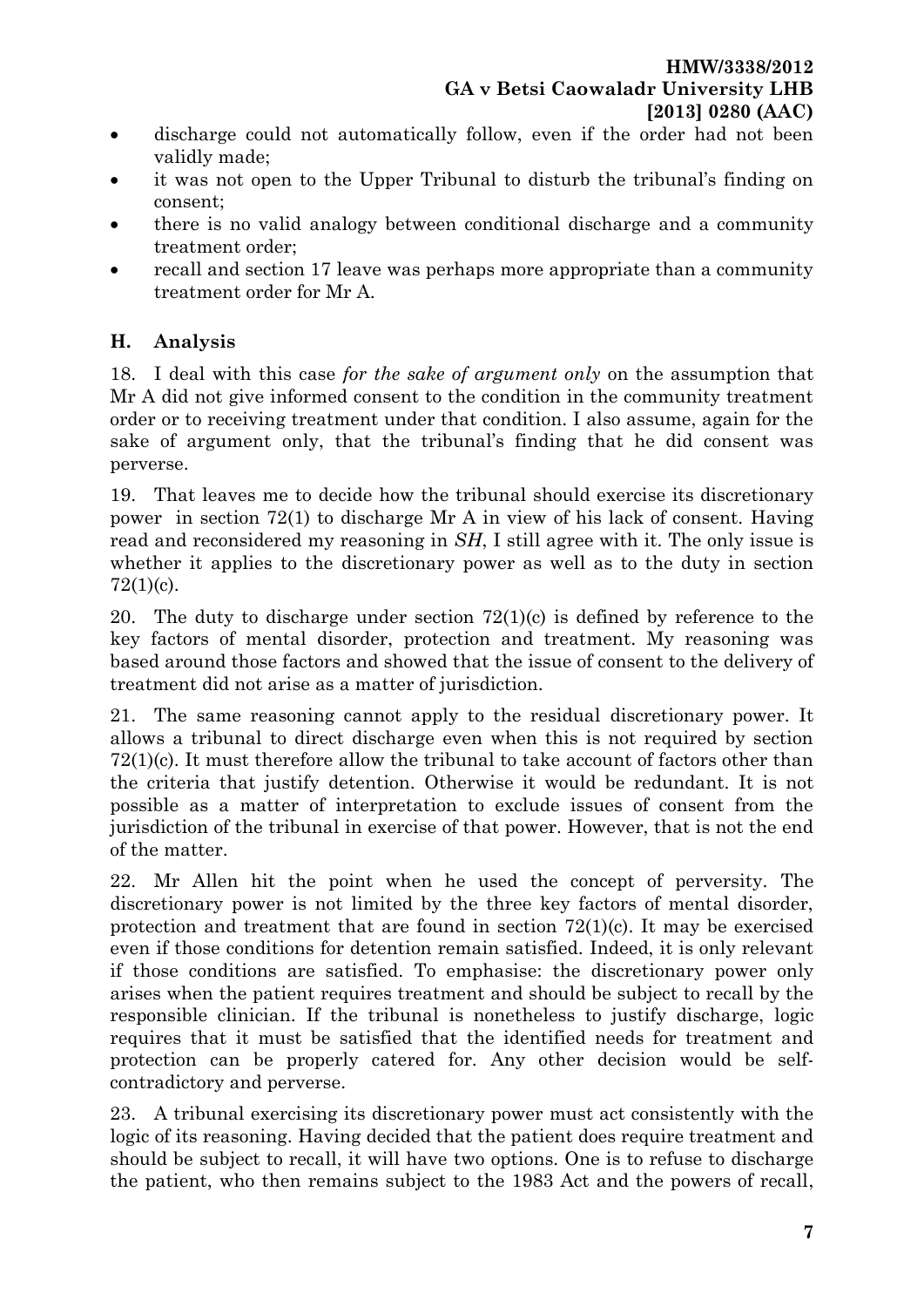- discharge could not automatically follow, even if the order had not been validly made;
- it was not open to the Upper Tribunal to disturb the tribunal's finding on consent;
- there is no valid analogy between conditional discharge and a community treatment order;
- recall and section 17 leave was perhaps more appropriate than a community treatment order for Mr A.

# **H. Analysis**

18. I deal with this case *for the sake of argument only* on the assumption that Mr A did not give informed consent to the condition in the community treatment order or to receiving treatment under that condition. I also assume, again for the sake of argument only, that the tribunal's finding that he did consent was perverse.

19. That leaves me to decide how the tribunal should exercise its discretionary power in section 72(1) to discharge Mr A in view of his lack of consent. Having read and reconsidered my reasoning in *SH*, I still agree with it. The only issue is whether it applies to the discretionary power as well as to the duty in section 72(1)(c).

20. The duty to discharge under section 72(1)(c) is defined by reference to the key factors of mental disorder, protection and treatment. My reasoning was based around those factors and showed that the issue of consent to the delivery of treatment did not arise as a matter of jurisdiction.

21. The same reasoning cannot apply to the residual discretionary power. It allows a tribunal to direct discharge even when this is not required by section 72(1)(c). It must therefore allow the tribunal to take account of factors other than the criteria that justify detention. Otherwise it would be redundant. It is not possible as a matter of interpretation to exclude issues of consent from the jurisdiction of the tribunal in exercise of that power. However, that is not the end of the matter.

22. Mr Allen hit the point when he used the concept of perversity. The discretionary power is not limited by the three key factors of mental disorder, protection and treatment that are found in section  $72(1)(c)$ . It may be exercised even if those conditions for detention remain satisfied. Indeed, it is only relevant if those conditions are satisfied. To emphasise: the discretionary power only arises when the patient requires treatment and should be subject to recall by the responsible clinician. If the tribunal is nonetheless to justify discharge, logic requires that it must be satisfied that the identified needs for treatment and protection can be properly catered for. Any other decision would be selfcontradictory and perverse.

23. A tribunal exercising its discretionary power must act consistently with the logic of its reasoning. Having decided that the patient does require treatment and should be subject to recall, it will have two options. One is to refuse to discharge the patient, who then remains subject to the 1983 Act and the powers of recall,